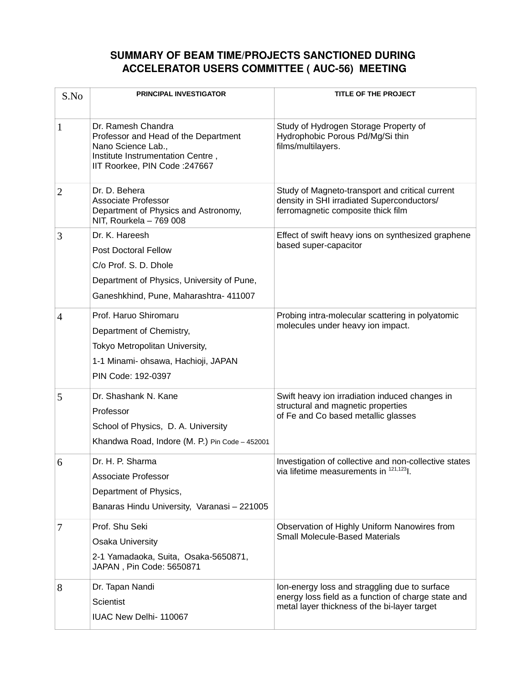## **SUMMARY OF BEAM TIME/PROJECTS SANCTIONED DURING ACCELERATOR USERS COMMITTEE ( AUC56) MEETING**

| S.No           | <b>PRINCIPAL INVESTIGATOR</b>                                                                                                                                  | TITLE OF THE PROJECT                                                                                                                                 |
|----------------|----------------------------------------------------------------------------------------------------------------------------------------------------------------|------------------------------------------------------------------------------------------------------------------------------------------------------|
| $\mathbf{1}$   | Dr. Ramesh Chandra<br>Professor and Head of the Department<br>Nano Science Lab.,<br>Institute Instrumentation Centre,<br>IIT Roorkee, PIN Code : 247667        | Study of Hydrogen Storage Property of<br>Hydrophobic Porous Pd/Mg/Si thin<br>films/multilayers.                                                      |
| $\overline{2}$ | Dr. D. Behera<br><b>Associate Professor</b><br>Department of Physics and Astronomy,<br>NIT, Rourkela - 769 008                                                 | Study of Magneto-transport and critical current<br>density in SHI irradiated Superconductors/<br>ferromagnetic composite thick film                  |
| 3              | Dr. K. Hareesh<br><b>Post Doctoral Fellow</b><br>C/o Prof. S. D. Dhole<br>Department of Physics, University of Pune,<br>Ganeshkhind, Pune, Maharashtra- 411007 | Effect of swift heavy ions on synthesized graphene<br>based super-capacitor                                                                          |
| $\overline{4}$ | Prof. Haruo Shiromaru<br>Department of Chemistry,<br>Tokyo Metropolitan University,<br>1-1 Minami- ohsawa, Hachioji, JAPAN<br>PIN Code: 192-0397               | Probing intra-molecular scattering in polyatomic<br>molecules under heavy ion impact.                                                                |
| 5              | Dr. Shashank N. Kane<br>Professor<br>School of Physics, D. A. University<br>Khandwa Road, Indore (M. P.) Pin Code - 452001                                     | Swift heavy ion irradiation induced changes in<br>structural and magnetic properties<br>of Fe and Co based metallic glasses                          |
| 6              | Dr. H. P. Sharma<br><b>Associate Professor</b><br>Department of Physics,<br>Banaras Hindu University, Varanasi - 221005                                        | Investigation of collective and non-collective states<br>via lifetime measurements in 121,1231.                                                      |
| 7              | Prof. Shu Seki<br>Osaka University<br>2-1 Yamadaoka, Suita, Osaka-5650871,<br>JAPAN, Pin Code: 5650871                                                         | Observation of Highly Uniform Nanowires from<br><b>Small Molecule-Based Materials</b>                                                                |
| 8              | Dr. Tapan Nandi<br>Scientist<br>IUAC New Delhi- 110067                                                                                                         | Ion-energy loss and straggling due to surface<br>energy loss field as a function of charge state and<br>metal layer thickness of the bi-layer target |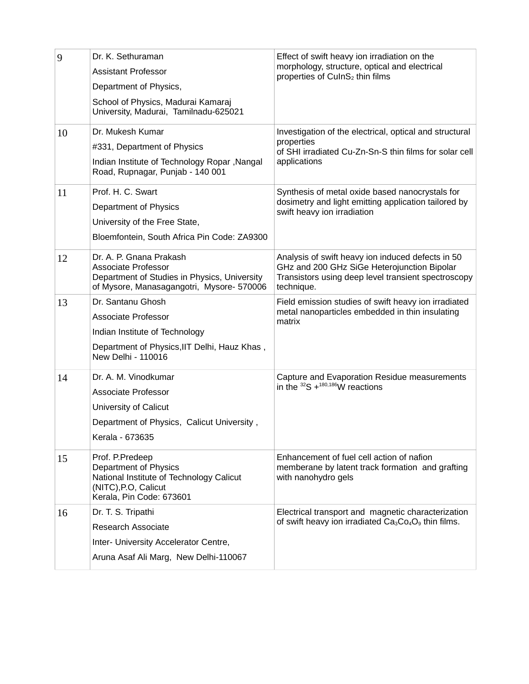| 9  | Dr. K. Sethuraman<br><b>Assistant Professor</b><br>Department of Physics,<br>School of Physics, Madurai Kamaraj<br>University, Madurai, Tamilnadu-625021 | Effect of swift heavy ion irradiation on the<br>morphology, structure, optical and electrical<br>properties of CuInS <sub>2</sub> thin films                          |
|----|----------------------------------------------------------------------------------------------------------------------------------------------------------|-----------------------------------------------------------------------------------------------------------------------------------------------------------------------|
| 10 | Dr. Mukesh Kumar<br>#331, Department of Physics<br>Indian Institute of Technology Ropar , Nangal<br>Road, Rupnagar, Punjab - 140 001                     | Investigation of the electrical, optical and structural<br>properties<br>of SHI irradiated Cu-Zn-Sn-S thin films for solar cell<br>applications                       |
| 11 | Prof. H. C. Swart<br>Department of Physics<br>University of the Free State,<br>Bloemfontein, South Africa Pin Code: ZA9300                               | Synthesis of metal oxide based nanocrystals for<br>dosimetry and light emitting application tailored by<br>swift heavy ion irradiation                                |
| 12 | Dr. A. P. Gnana Prakash<br><b>Associate Professor</b><br>Department of Studies in Physics, University<br>of Mysore, Manasagangotri, Mysore- 570006       | Analysis of swift heavy ion induced defects in 50<br>GHz and 200 GHz SiGe Heterojunction Bipolar<br>Transistors using deep level transient spectroscopy<br>technique. |
| 13 | Dr. Santanu Ghosh<br><b>Associate Professor</b><br>Indian Institute of Technology<br>Department of Physics, IIT Delhi, Hauz Khas,<br>New Delhi - 110016  | Field emission studies of swift heavy ion irradiated<br>metal nanoparticles embedded in thin insulating<br>matrix                                                     |
| 14 | Dr. A. M. Vinodkumar<br><b>Associate Professor</b><br>University of Calicut<br>Department of Physics, Calicut University,<br>Kerala - 673635             | Capture and Evaporation Residue measurements<br>in the ${}^{32}S + {}^{180,186}W$ reactions                                                                           |
| 15 | Prof. P.Predeep<br>Department of Physics<br>National Institute of Technology Calicut<br>(NITC), P.O., Calicut<br>Kerala, Pin Code: 673601                | Enhancement of fuel cell action of nafion<br>memberane by latent track formation and grafting<br>with nanohydro gels                                                  |
| 16 | Dr. T. S. Tripathi<br><b>Research Associate</b><br>Inter- University Accelerator Centre,<br>Aruna Asaf Ali Marg, New Delhi-110067                        | Electrical transport and magnetic characterization<br>of swift heavy ion irradiated $Ca3Co4O9$ thin films.                                                            |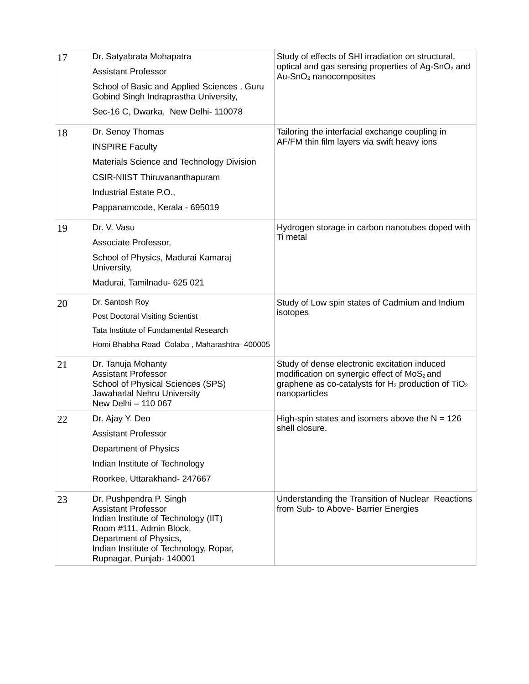| 17 | Dr. Satyabrata Mohapatra<br><b>Assistant Professor</b><br>School of Basic and Applied Sciences, Guru<br>Gobind Singh Indraprastha University,<br>Sec-16 C, Dwarka, New Delhi- 110078                                    | Study of effects of SHI irradiation on structural,<br>optical and gas sensing properties of Ag-SnO <sub>2</sub> and<br>Au-SnO <sub>2</sub> nanocomposites                                     |
|----|-------------------------------------------------------------------------------------------------------------------------------------------------------------------------------------------------------------------------|-----------------------------------------------------------------------------------------------------------------------------------------------------------------------------------------------|
| 18 | Dr. Senoy Thomas<br><b>INSPIRE Faculty</b><br>Materials Science and Technology Division<br>CSIR-NIIST Thiruvananthapuram<br>Industrial Estate P.O.,<br>Pappanamcode, Kerala - 695019                                    | Tailoring the interfacial exchange coupling in<br>AF/FM thin film layers via swift heavy ions                                                                                                 |
| 19 | Dr. V. Vasu<br>Associate Professor,<br>School of Physics, Madurai Kamaraj<br>University,<br>Madurai, Tamilnadu- 625 021                                                                                                 | Hydrogen storage in carbon nanotubes doped with<br>Ti metal                                                                                                                                   |
| 20 | Dr. Santosh Roy<br>Post Doctoral Visiting Scientist<br>Tata Institute of Fundamental Research<br>Homi Bhabha Road Colaba, Maharashtra- 400005                                                                           | Study of Low spin states of Cadmium and Indium<br>isotopes                                                                                                                                    |
| 21 | Dr. Tanuja Mohanty<br><b>Assistant Professor</b><br>School of Physical Sciences (SPS)<br>Jawaharlal Nehru University<br>New Delhi - 110 067                                                                             | Study of dense electronic excitation induced<br>modification on synergic effect of MoS <sub>2</sub> and<br>graphene as co-catalysts for $H_2$ production of TiO <sub>2</sub><br>nanoparticles |
| 22 | Dr. Ajay Y. Deo<br>Assistant Professor<br><b>Department of Physics</b><br>Indian Institute of Technology<br>Roorkee, Uttarakhand- 247667                                                                                | High-spin states and isomers above the $N = 126$<br>shell closure.                                                                                                                            |
| 23 | Dr. Pushpendra P. Singh<br><b>Assistant Professor</b><br>Indian Institute of Technology (IIT)<br>Room #111, Admin Block,<br>Department of Physics,<br>Indian Institute of Technology, Ropar,<br>Rupnagar, Punjab-140001 | Understanding the Transition of Nuclear Reactions<br>from Sub- to Above- Barrier Energies                                                                                                     |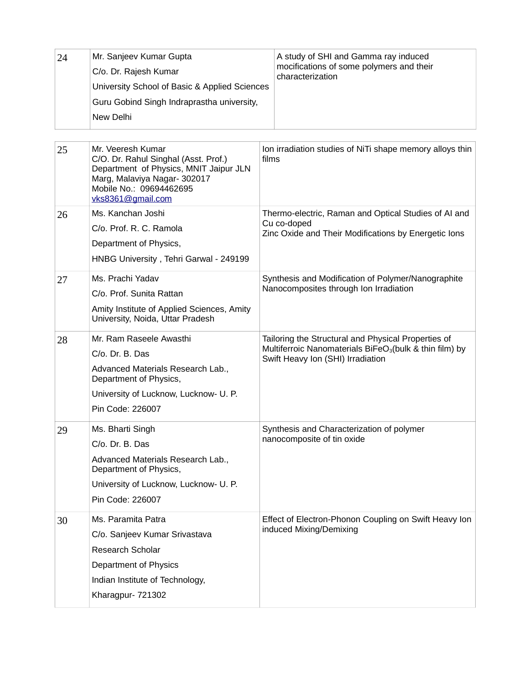| 24 | Mr. Sanjeev Kumar Gupta<br>C/o. Dr. Rajesh Kumar<br>University School of Basic & Applied Sciences<br>Guru Gobind Singh Indraprastha university,<br>New Delhi                        | A study of SHI and Gamma ray induced<br>mocifications of some polymers and their<br>characterization                                                            |
|----|-------------------------------------------------------------------------------------------------------------------------------------------------------------------------------------|-----------------------------------------------------------------------------------------------------------------------------------------------------------------|
| 25 | Mr. Veeresh Kumar<br>C/O. Dr. Rahul Singhal (Asst. Prof.)<br>Department of Physics, MNIT Jaipur JLN<br>Marg, Malaviya Nagar- 302017<br>Mobile No.: 09694462695<br>vks8361@gmail.com | Ion irradiation studies of NiTi shape memory alloys thin<br>films                                                                                               |
| 26 | Ms. Kanchan Joshi<br>C/o. Prof. R. C. Ramola<br>Department of Physics,<br>HNBG University, Tehri Garwal - 249199                                                                    | Thermo-electric, Raman and Optical Studies of AI and<br>Cu co-doped<br>Zinc Oxide and Their Modifications by Energetic lons                                     |
| 27 | Ms. Prachi Yadav<br>C/o. Prof. Sunita Rattan<br>Amity Institute of Applied Sciences, Amity<br>University, Noida, Uttar Pradesh                                                      | Synthesis and Modification of Polymer/Nanographite<br>Nanocomposites through Ion Irradiation                                                                    |
| 28 | Mr. Ram Raseele Awasthi<br>C/o. Dr. B. Das<br>Advanced Materials Research Lab.,<br>Department of Physics,<br>University of Lucknow, Lucknow- U. P.<br>Pin Code: 226007              | Tailoring the Structural and Physical Properties of<br>Multiferroic Nanomaterials BiFeO <sub>3</sub> (bulk & thin film) by<br>Swift Heavy Ion (SHI) Irradiation |
| 29 | Ms. Bharti Singh<br>C/o. Dr. B. Das<br>Advanced Materials Research Lab.,<br>Department of Physics,<br>University of Lucknow, Lucknow- U. P.<br>Pin Code: 226007                     | Synthesis and Characterization of polymer<br>nanocomposite of tin oxide                                                                                         |
| 30 | Ms. Paramita Patra<br>C/o. Sanjeev Kumar Srivastava<br>Research Scholar<br>Department of Physics<br>Indian Institute of Technology,<br>Kharagpur- 721302                            | Effect of Electron-Phonon Coupling on Swift Heavy Ion<br>induced Mixing/Demixing                                                                                |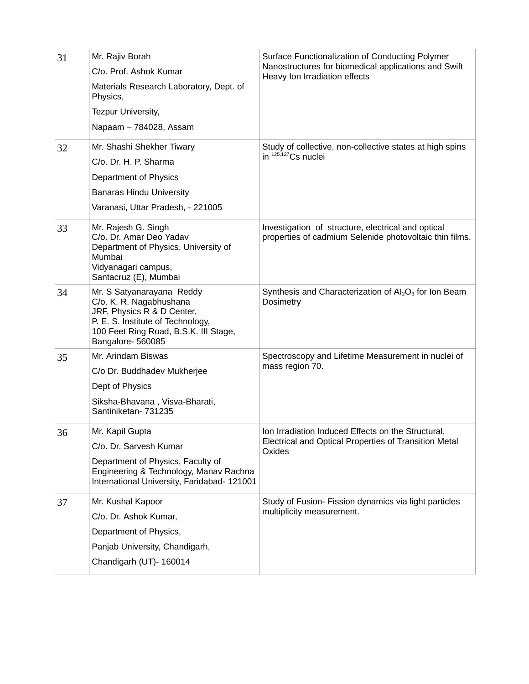| 31<br>32 | Mr. Rajiv Borah<br>C/o. Prof. Ashok Kumar<br>Materials Research Laboratory, Dept. of<br>Physics,<br>Tezpur University,<br>Napaam - 784028, Assam<br>Mr. Shashi Shekher Tiwary<br>C/o. Dr. H. P. Sharma<br>Department of Physics<br><b>Banaras Hindu University</b><br>Varanasi, Uttar Pradesh, - 221005 | Surface Functionalization of Conducting Polymer<br>Nanostructures for biomedical applications and Swift<br>Heavy Ion Irradiation effects<br>Study of collective, non-collective states at high spins<br>in 125,127 Cs nuclei |
|----------|---------------------------------------------------------------------------------------------------------------------------------------------------------------------------------------------------------------------------------------------------------------------------------------------------------|------------------------------------------------------------------------------------------------------------------------------------------------------------------------------------------------------------------------------|
| 33       | Mr. Rajesh G. Singh<br>C/o. Dr. Amar Deo Yadav<br>Department of Physics, University of<br>Mumbai<br>Vidyanagari campus,<br>Santacruz (E), Mumbai                                                                                                                                                        | Investigation of structure, electrical and optical<br>properties of cadmium Selenide photovoltaic thin films.                                                                                                                |
| 34       | Mr. S Satyanarayana Reddy<br>C/o. K. R. Nagabhushana<br>JRF, Physics R & D Center,<br>P. E. S. Institute of Technology,<br>100 Feet Ring Road, B.S.K. III Stage,<br>Bangalore-560085                                                                                                                    | Synthesis and Characterization of Al <sub>2</sub> O <sub>3</sub> for Ion Beam<br>Dosimetry                                                                                                                                   |
| 35       | Mr. Arindam Biswas<br>C/o Dr. Buddhadev Mukherjee<br>Dept of Physics<br>Siksha-Bhavana, Visva-Bharati,<br>Santiniketan- 731235                                                                                                                                                                          | Spectroscopy and Lifetime Measurement in nuclei of<br>mass region 70.                                                                                                                                                        |
| 36       | Mr. Kapil Gupta<br>C/o. Dr. Sarvesh Kumar<br>Department of Physics, Faculty of<br>Engineering & Technology, Manav Rachna<br>International University, Faridabad- 121001                                                                                                                                 | Ion Irradiation Induced Effects on the Structural,<br>Electrical and Optical Properties of Transition Metal<br>Oxides                                                                                                        |
| 37       | Mr. Kushal Kapoor<br>C/o. Dr. Ashok Kumar,<br>Department of Physics,<br>Panjab University, Chandigarh,<br>Chandigarh (UT)- 160014                                                                                                                                                                       | Study of Fusion- Fission dynamics via light particles<br>multiplicity measurement.                                                                                                                                           |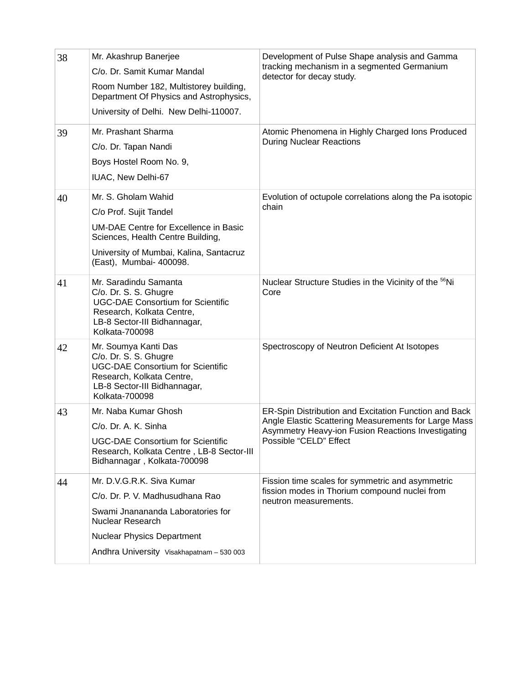| 38 | Mr. Akashrup Banerjee                                                                                                                                                     | Development of Pulse Shape analysis and Gamma                                                                                                                                                 |
|----|---------------------------------------------------------------------------------------------------------------------------------------------------------------------------|-----------------------------------------------------------------------------------------------------------------------------------------------------------------------------------------------|
|    | C/o. Dr. Samit Kumar Mandal                                                                                                                                               | tracking mechanism in a segmented Germanium<br>detector for decay study.                                                                                                                      |
|    | Room Number 182, Multistorey building,<br>Department Of Physics and Astrophysics,                                                                                         |                                                                                                                                                                                               |
|    | University of Delhi. New Delhi-110007.                                                                                                                                    |                                                                                                                                                                                               |
| 39 | Mr. Prashant Sharma                                                                                                                                                       | Atomic Phenomena in Highly Charged Ions Produced                                                                                                                                              |
|    | C/o. Dr. Tapan Nandi                                                                                                                                                      | <b>During Nuclear Reactions</b>                                                                                                                                                               |
|    | Boys Hostel Room No. 9,                                                                                                                                                   |                                                                                                                                                                                               |
|    | IUAC, New Delhi-67                                                                                                                                                        |                                                                                                                                                                                               |
| 40 | Mr. S. Gholam Wahid                                                                                                                                                       | Evolution of octupole correlations along the Pa isotopic                                                                                                                                      |
|    | C/o Prof. Sujit Tandel                                                                                                                                                    | chain                                                                                                                                                                                         |
|    | <b>UM-DAE Centre for Excellence in Basic</b><br>Sciences, Health Centre Building,                                                                                         |                                                                                                                                                                                               |
|    | University of Mumbai, Kalina, Santacruz<br>(East), Mumbai- 400098.                                                                                                        |                                                                                                                                                                                               |
| 41 | Mr. Saradindu Samanta<br>C/o. Dr. S. S. Ghugre<br><b>UGC-DAE Consortium for Scientific</b><br>Research, Kolkata Centre,<br>LB-8 Sector-III Bidhannagar,<br>Kolkata-700098 | Nuclear Structure Studies in the Vicinity of the <sup>56</sup> Ni<br>Core                                                                                                                     |
| 42 | Mr. Soumya Kanti Das<br>C/o. Dr. S. S. Ghugre<br><b>UGC-DAE Consortium for Scientific</b><br>Research, Kolkata Centre,<br>LB-8 Sector-III Bidhannagar,<br>Kolkata-700098  | Spectroscopy of Neutron Deficient At Isotopes                                                                                                                                                 |
| 43 | Mr. Naba Kumar Ghosh<br>C/o. Dr. A. K. Sinha<br><b>UGC-DAE Consortium for Scientific</b><br>Research, Kolkata Centre, LB-8 Sector-III                                     | ER-Spin Distribution and Excitation Function and Back<br>Angle Elastic Scattering Measurements for Large Mass<br>Asymmetry Heavy-ion Fusion Reactions Investigating<br>Possible "CELD" Effect |
|    | Bidhannagar, Kolkata-700098                                                                                                                                               |                                                                                                                                                                                               |
| 44 | Mr. D.V.G.R.K. Siva Kumar                                                                                                                                                 | Fission time scales for symmetric and asymmetric<br>fission modes in Thorium compound nuclei from                                                                                             |
|    | C/o. Dr. P. V. Madhusudhana Rao                                                                                                                                           | neutron measurements.                                                                                                                                                                         |
|    | Swami Jnanananda Laboratories for<br>Nuclear Research                                                                                                                     |                                                                                                                                                                                               |
|    | <b>Nuclear Physics Department</b>                                                                                                                                         |                                                                                                                                                                                               |
|    | Andhra University Visakhapatnam - 530 003                                                                                                                                 |                                                                                                                                                                                               |
|    |                                                                                                                                                                           |                                                                                                                                                                                               |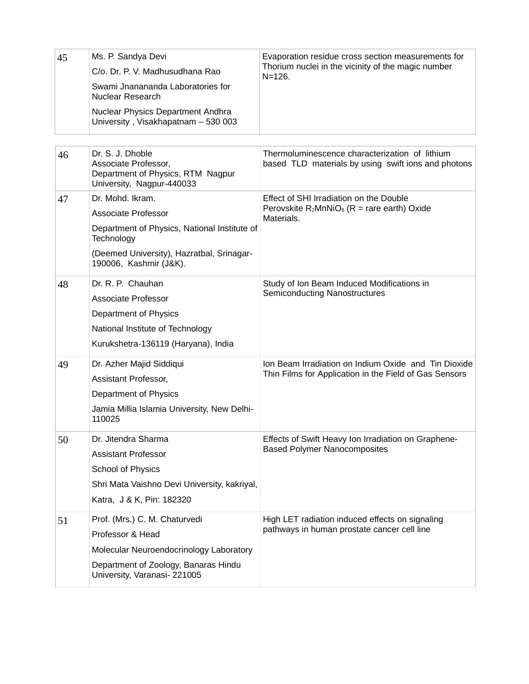| 45 | Ms. P. Sandya Devi<br>C/o. Dr. P. V. Madhusudhana Rao<br>Swami Jnanananda Laboratories for<br>Nuclear Research<br>Nuclear Physics Department Andhra<br>University, Visakhapatnam - 530 003 | Evaporation residue cross section measurements for<br>Thorium nuclei in the vicinity of the magic number<br>$N = 126.$ |
|----|--------------------------------------------------------------------------------------------------------------------------------------------------------------------------------------------|------------------------------------------------------------------------------------------------------------------------|
| 46 | Dr. S. J. Dhoble<br>Associate Professor,<br>Department of Physics, RTM Nagpur<br>University, Nagpur-440033                                                                                 | Thermoluminescence characterization of lithium<br>based TLD materials by using swift ions and photons                  |
| 47 | Dr. Mohd. Ikram.<br><b>Associate Professor</b><br>Department of Physics, National Institute of<br>Technology<br>(Deemed University), Hazratbal, Srinagar-<br>190006, Kashmir (J&K).        | Effect of SHI Irradiation on the Double<br>Perovskite $R_2MnNiO_6$ (R = rare earth) Oxide<br>Materials.                |
| 48 | Dr. R. P. Chauhan<br><b>Associate Professor</b><br>Department of Physics<br>National Institute of Technology<br>Kurukshetra-136119 (Haryana), India                                        | Study of Ion Beam Induced Modifications in<br>Semiconducting Nanostructures                                            |
| 49 | Dr. Azher Majid Siddiqui<br>Assistant Professor,<br>Department of Physics<br>Jamia Millia Islamia University, New Delhi-<br>110025                                                         | Ion Beam Irradiation on Indium Oxide and Tin Dioxide<br>Thin Films for Application in the Field of Gas Sensors         |
| 50 | Dr. Jitendra Sharma<br><b>Assistant Professor</b><br>School of Physics<br>Shri Mata Vaishno Devi University, kakriyal,<br>Katra, J & K, Pin: 182320                                        | Effects of Swift Heavy Ion Irradiation on Graphene-<br><b>Based Polymer Nanocomposites</b>                             |
| 51 | Prof. (Mrs.) C. M. Chaturvedi<br>Professor & Head<br>Molecular Neuroendocrinology Laboratory<br>Department of Zoology, Banaras Hindu<br>University, Varanasi-221005                        | High LET radiation induced effects on signaling<br>pathways in human prostate cancer cell line                         |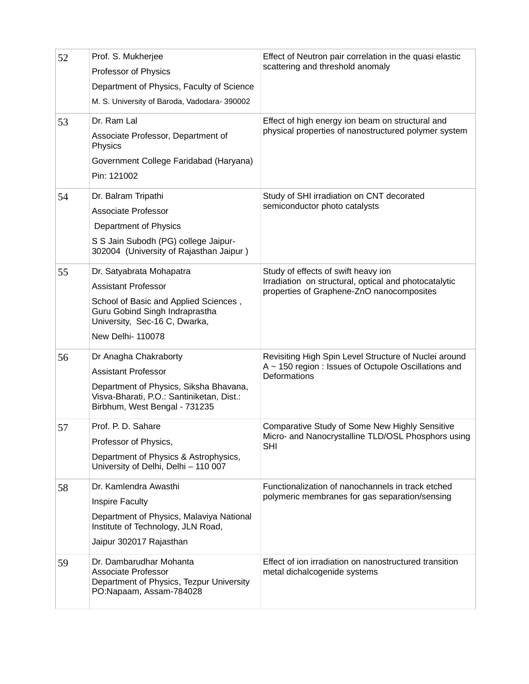| 52 | Prof. S. Mukherjee<br>Professor of Physics<br>Department of Physics, Faculty of Science<br>M. S. University of Baroda, Vadodara- 390002                                                 | Effect of Neutron pair correlation in the quasi elastic<br>scattering and threshold anomaly                                               |
|----|-----------------------------------------------------------------------------------------------------------------------------------------------------------------------------------------|-------------------------------------------------------------------------------------------------------------------------------------------|
| 53 | Dr. Ram Lal<br>Associate Professor, Department of<br>Physics<br>Government College Faridabad (Haryana)<br>Pin: 121002                                                                   | Effect of high energy ion beam on structural and<br>physical properties of nanostructured polymer system                                  |
| 54 | Dr. Balram Tripathi<br><b>Associate Professor</b><br>Department of Physics<br>S S Jain Subodh (PG) college Jaipur-<br>302004 (University of Rajasthan Jaipur)                           | Study of SHI irradiation on CNT decorated<br>semiconductor photo catalysts                                                                |
| 55 | Dr. Satyabrata Mohapatra<br><b>Assistant Professor</b><br>School of Basic and Applied Sciences,<br>Guru Gobind Singh Indraprastha<br>University, Sec-16 C, Dwarka,<br>New Delhi- 110078 | Study of effects of swift heavy ion<br>Irradiation on structural, optical and photocatalytic<br>properties of Graphene-ZnO nanocomposites |
| 56 | Dr Anagha Chakraborty<br><b>Assistant Professor</b><br>Department of Physics, Siksha Bhavana,<br>Visva-Bharati, P.O.: Santiniketan, Dist.:<br>Birbhum, West Bengal - 731235             | Revisiting High Spin Level Structure of Nuclei around<br>$A \sim 150$ region : Issues of Octupole Oscillations and<br>Deformations        |
| 57 | Prof. P. D. Sahare<br>Professor of Physics,<br>Department of Physics & Astrophysics,<br>University of Delhi, Delhi - 110 007                                                            | Comparative Study of Some New Highly Sensitive<br>Micro- and Nanocrystalline TLD/OSL Phosphors using<br><b>SHI</b>                        |
| 58 | Dr. Kamlendra Awasthi<br><b>Inspire Faculty</b><br>Department of Physics, Malaviya National<br>Institute of Technology, JLN Road,<br>Jaipur 302017 Rajasthan                            | Functionalization of nanochannels in track etched<br>polymeric membranes for gas separation/sensing                                       |
| 59 | Dr. Dambarudhar Mohanta<br><b>Associate Professor</b><br>Department of Physics, Tezpur University<br>PO:Napaam, Assam-784028                                                            | Effect of ion irradiation on nanostructured transition<br>metal dichalcogenide systems                                                    |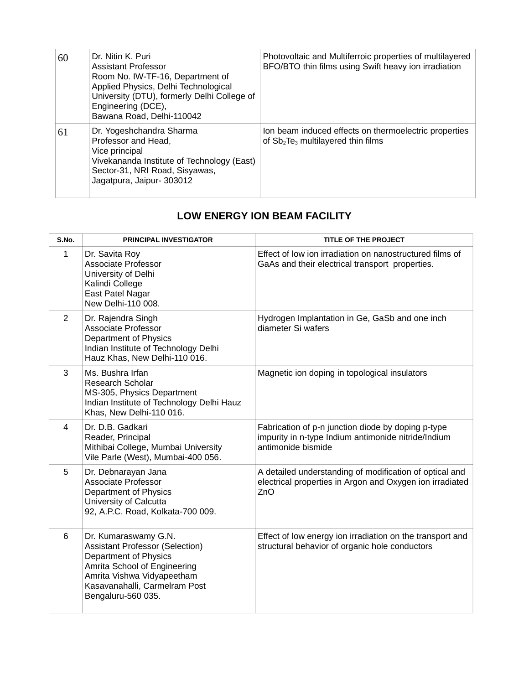| 60 | Dr. Nitin K. Puri<br><b>Assistant Professor</b><br>Room No. IW-TF-16, Department of<br>Applied Physics, Delhi Technological<br>University (DTU), formerly Delhi College of<br>Engineering (DCE),<br>Bawana Road, Delhi-110042 | Photovoltaic and Multiferroic properties of multilayered<br>BFO/BTO thin films using Swift heavy ion irradiation |
|----|-------------------------------------------------------------------------------------------------------------------------------------------------------------------------------------------------------------------------------|------------------------------------------------------------------------------------------------------------------|
| 61 | Dr. Yogeshchandra Sharma<br>Professor and Head,<br>Vice principal<br>Vivekananda Institute of Technology (East)<br>Sector-31, NRI Road, Sisyawas,<br>Jagatpura, Jaipur- 303012                                                | Ion beam induced effects on thermoelectric properties<br>of $Sb_2Te_3$ multilayered thin films                   |

## **LOW ENERGY ION BEAM FACILITY**

| S.No.        | <b>PRINCIPAL INVESTIGATOR</b>                                                                                                                                                                                | <b>TITLE OF THE PROJECT</b>                                                                                                     |
|--------------|--------------------------------------------------------------------------------------------------------------------------------------------------------------------------------------------------------------|---------------------------------------------------------------------------------------------------------------------------------|
| $\mathbf{1}$ | Dr. Savita Roy<br><b>Associate Professor</b><br>University of Delhi<br>Kalindi College<br>East Patel Nagar<br>New Delhi-110 008.                                                                             | Effect of low ion irradiation on nanostructured films of<br>GaAs and their electrical transport properties.                     |
| 2            | Dr. Rajendra Singh<br><b>Associate Professor</b><br>Department of Physics<br>Indian Institute of Technology Delhi<br>Hauz Khas, New Delhi-110 016.                                                           | Hydrogen Implantation in Ge, GaSb and one inch<br>diameter Si wafers                                                            |
| 3            | Ms. Bushra Irfan<br>Research Scholar<br>MS-305, Physics Department<br>Indian Institute of Technology Delhi Hauz<br>Khas, New Delhi-110 016.                                                                  | Magnetic ion doping in topological insulators                                                                                   |
| 4            | Dr. D.B. Gadkari<br>Reader, Principal<br>Mithibai College, Mumbai University<br>Vile Parle (West), Mumbai-400 056.                                                                                           | Fabrication of p-n junction diode by doping p-type<br>impurity in n-type Indium antimonide nitride/Indium<br>antimonide bismide |
| 5            | Dr. Debnarayan Jana<br><b>Associate Professor</b><br>Department of Physics<br>University of Calcutta<br>92, A.P.C. Road, Kolkata-700 009.                                                                    | A detailed understanding of modification of optical and<br>electrical properties in Argon and Oxygen ion irradiated<br>ZnO      |
| 6            | Dr. Kumaraswamy G.N.<br><b>Assistant Professor (Selection)</b><br>Department of Physics<br>Amrita School of Engineering<br>Amrita Vishwa Vidyapeetham<br>Kasavanahalli, Carmelram Post<br>Bengaluru-560 035. | Effect of low energy ion irradiation on the transport and<br>structural behavior of organic hole conductors                     |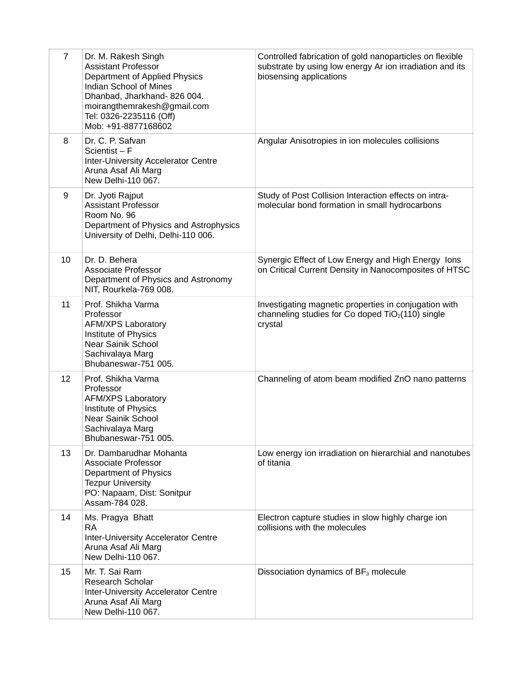| $\overline{7}$ | Dr. M. Rakesh Singh<br><b>Assistant Professor</b><br>Department of Applied Physics<br>Indian School of Mines<br>Dhanbad, Jharkhand-826 004.<br>moirangthemrakesh@gmail.com<br>Tel: 0326-2235116 (Off)<br>Mob: +91-8877168602 | Controlled fabrication of gold nanoparticles on flexible<br>substrate by using low energy Ar ion irradiation and its<br>biosensing applications |
|----------------|------------------------------------------------------------------------------------------------------------------------------------------------------------------------------------------------------------------------------|-------------------------------------------------------------------------------------------------------------------------------------------------|
| 8              | Dr. C. P. Safvan<br>Scientist $-F$<br>Inter-University Accelerator Centre<br>Aruna Asaf Ali Marg<br>New Delhi-110 067.                                                                                                       | Angular Anisotropies in ion molecules collisions                                                                                                |
| 9              | Dr. Jyoti Rajput<br><b>Assistant Professor</b><br>Room No. 96<br>Department of Physics and Astrophysics<br>University of Delhi, Delhi-110 006.                                                                               | Study of Post Collision Interaction effects on intra-<br>molecular bond formation in small hydrocarbons                                         |
| 10             | Dr. D. Behera<br><b>Associate Professor</b><br>Department of Physics and Astronomy<br>NIT, Rourkela-769 008.                                                                                                                 | Synergic Effect of Low Energy and High Energy lons<br>on Critical Current Density in Nanocomposites of HTSC                                     |
| 11             | Prof. Shikha Varma<br>Professor<br><b>AFM/XPS Laboratory</b><br>Institute of Physics<br>Near Sainik School<br>Sachivalaya Marg<br>Bhubaneswar-751 005.                                                                       | Investigating magnetic properties in conjugation with<br>channeling studies for Co doped $TiO2(110)$ single<br>crystal                          |
| 12             | Prof. Shikha Varma<br>Professor<br><b>AFM/XPS Laboratory</b><br>Institute of Physics<br>Near Sainik School<br>Sachivalaya Marg<br>Bhubaneswar-751 005.                                                                       | Channeling of atom beam modified ZnO nano patterns                                                                                              |
| 13             | Dr. Dambarudhar Mohanta<br><b>Associate Professor</b><br>Department of Physics<br><b>Tezpur University</b><br>PO: Napaam, Dist: Sonitpur<br>Assam-784 028.                                                                   | Low energy ion irradiation on hierarchial and nanotubes<br>of titania                                                                           |
| 14             | Ms. Pragya Bhatt<br><b>RA</b><br>Inter-University Accelerator Centre<br>Aruna Asaf Ali Marg<br>New Delhi-110 067.                                                                                                            | Electron capture studies in slow highly charge ion<br>collisions with the molecules                                                             |
| 15             | Mr. T. Sai Ram<br><b>Research Scholar</b><br>Inter-University Accelerator Centre<br>Aruna Asaf Ali Marg<br>New Delhi-110 067.                                                                                                | Dissociation dynamics of BF <sub>3</sub> molecule                                                                                               |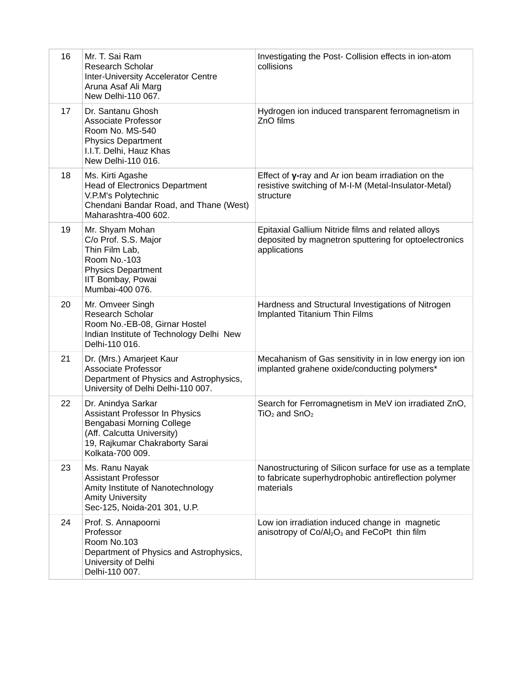| 16 | Mr. T. Sai Ram<br>Research Scholar<br>Inter-University Accelerator Centre<br>Aruna Asaf Ali Marg<br>New Delhi-110 067.                                                       | Investigating the Post- Collision effects in ion-atom<br>collisions                                                           |
|----|------------------------------------------------------------------------------------------------------------------------------------------------------------------------------|-------------------------------------------------------------------------------------------------------------------------------|
| 17 | Dr. Santanu Ghosh<br><b>Associate Professor</b><br>Room No. MS-540<br><b>Physics Department</b><br>I.I.T. Delhi, Hauz Khas<br>New Delhi-110 016.                             | Hydrogen ion induced transparent ferromagnetism in<br>ZnO films                                                               |
| 18 | Ms. Kirti Agashe<br><b>Head of Electronics Department</b><br>V.P.M's Polytechnic<br>Chendani Bandar Road, and Thane (West)<br>Maharashtra-400 602.                           | Effect of $y$ -ray and Ar ion beam irradiation on the<br>resistive switching of M-I-M (Metal-Insulator-Metal)<br>structure    |
| 19 | Mr. Shyam Mohan<br>C/o Prof. S.S. Major<br>Thin Film Lab,<br>Room No.-103<br><b>Physics Department</b><br>IIT Bombay, Powai<br>Mumbai-400 076.                               | Epitaxial Gallium Nitride films and related alloys<br>deposited by magnetron sputtering for optoelectronics<br>applications   |
| 20 | Mr. Omveer Singh<br>Research Scholar<br>Room No.-EB-08, Girnar Hostel<br>Indian Institute of Technology Delhi New<br>Delhi-110 016.                                          | Hardness and Structural Investigations of Nitrogen<br>Implanted Titanium Thin Films                                           |
| 21 | Dr. (Mrs.) Amarjeet Kaur<br><b>Associate Professor</b><br>Department of Physics and Astrophysics,<br>University of Delhi Delhi-110 007.                                      | Mecahanism of Gas sensitivity in in low energy ion ion<br>implanted grahene oxide/conducting polymers*                        |
| 22 | Dr. Anindya Sarkar<br><b>Assistant Professor In Physics</b><br>Bengabasi Morning College<br>(Aff. Calcutta University)<br>19, Rajkumar Chakraborty Sarai<br>Kolkata-700 009. | Search for Ferromagnetism in MeV ion irradiated ZnO,<br>$TiO2$ and $SnO2$                                                     |
| 23 | Ms. Ranu Nayak<br><b>Assistant Professor</b><br>Amity Institute of Nanotechnology<br><b>Amity University</b><br>Sec-125, Noida-201 301, U.P.                                 | Nanostructuring of Silicon surface for use as a template<br>to fabricate superhydrophobic antireflection polymer<br>materials |
| 24 | Prof. S. Annapoorni<br>Professor<br>Room No.103<br>Department of Physics and Astrophysics,<br>University of Delhi<br>Delhi-110 007.                                          | Low ion irradiation induced change in magnetic<br>anisotropy of Co/Al <sub>2</sub> O <sub>3</sub> and FeCoPt thin film        |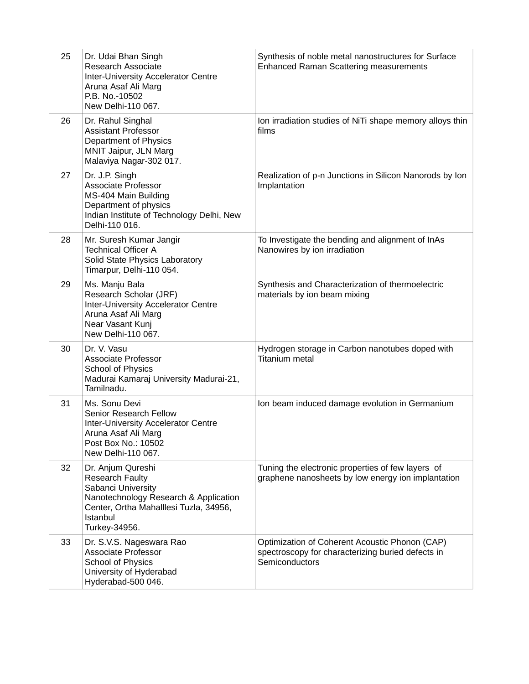| 25 | Dr. Udai Bhan Singh<br>Research Associate<br>Inter-University Accelerator Centre<br>Aruna Asaf Ali Marg<br>P.B. No.-10502<br>New Delhi-110 067.                                   | Synthesis of noble metal nanostructures for Surface<br><b>Enhanced Raman Scattering measurements</b>                  |
|----|-----------------------------------------------------------------------------------------------------------------------------------------------------------------------------------|-----------------------------------------------------------------------------------------------------------------------|
| 26 | Dr. Rahul Singhal<br><b>Assistant Professor</b><br>Department of Physics<br>MNIT Jaipur, JLN Marg<br>Malaviya Nagar-302 017.                                                      | Ion irradiation studies of NiTi shape memory alloys thin<br>films                                                     |
| 27 | Dr. J.P. Singh<br><b>Associate Professor</b><br>MS-404 Main Building<br>Department of physics<br>Indian Institute of Technology Delhi, New<br>Delhi-110 016.                      | Realization of p-n Junctions in Silicon Nanorods by Ion<br>Implantation                                               |
| 28 | Mr. Suresh Kumar Jangir<br><b>Technical Officer A</b><br>Solid State Physics Laboratory<br>Timarpur, Delhi-110 054.                                                               | To Investigate the bending and alignment of InAs<br>Nanowires by ion irradiation                                      |
| 29 | Ms. Manju Bala<br>Research Scholar (JRF)<br>Inter-University Accelerator Centre<br>Aruna Asaf Ali Marg<br>Near Vasant Kunj<br>New Delhi-110 067.                                  | Synthesis and Characterization of thermoelectric<br>materials by ion beam mixing                                      |
| 30 | Dr. V. Vasu<br><b>Associate Professor</b><br>School of Physics<br>Madurai Kamaraj University Madurai-21,<br>Tamilnadu.                                                            | Hydrogen storage in Carbon nanotubes doped with<br><b>Titanium metal</b>                                              |
| 31 | Ms. Sonu Devi<br>Senior Research Fellow<br>Inter-University Accelerator Centre<br>Aruna Asaf Ali Marg<br>Post Box No.: 10502<br>New Delhi-110 067.                                | Ion beam induced damage evolution in Germanium                                                                        |
| 32 | Dr. Anjum Qureshi<br><b>Research Faulty</b><br>Sabanci University<br>Nanotechnology Research & Application<br>Center, Ortha Mahalllesi Tuzla, 34956,<br>Istanbul<br>Turkey-34956. | Tuning the electronic properties of few layers of<br>graphene nanosheets by low energy ion implantation               |
| 33 | Dr. S.V.S. Nageswara Rao<br><b>Associate Professor</b><br>School of Physics<br>University of Hyderabad<br>Hyderabad-500 046.                                                      | Optimization of Coherent Acoustic Phonon (CAP)<br>spectroscopy for characterizing buried defects in<br>Semiconductors |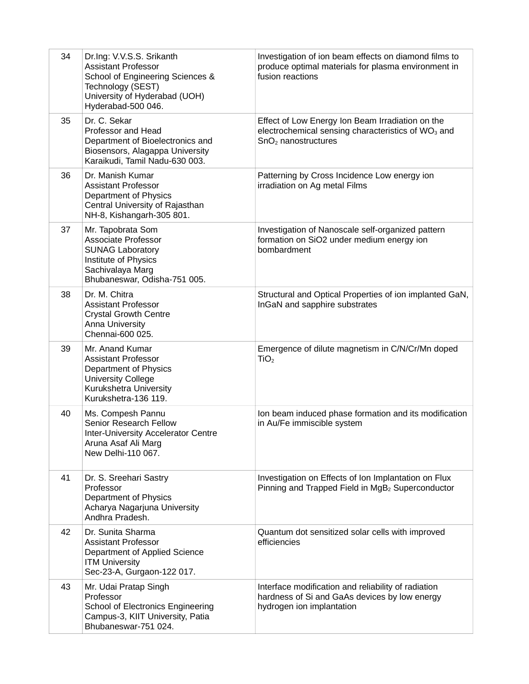| 34 | Dr.Ing: V.V.S.S. Srikanth<br><b>Assistant Professor</b><br>School of Engineering Sciences &<br>Technology (SEST)<br>University of Hyderabad (UOH)<br>Hyderabad-500 046. | Investigation of ion beam effects on diamond films to<br>produce optimal materials for plasma environment in<br>fusion reactions            |
|----|-------------------------------------------------------------------------------------------------------------------------------------------------------------------------|---------------------------------------------------------------------------------------------------------------------------------------------|
| 35 | Dr. C. Sekar<br>Professor and Head<br>Department of Bioelectronics and<br>Biosensors, Alagappa University<br>Karaikudi, Tamil Nadu-630 003.                             | Effect of Low Energy Ion Beam Irradiation on the<br>electrochemical sensing characteristics of WO <sub>3</sub> and<br>$SnO2$ nanostructures |
| 36 | Dr. Manish Kumar<br><b>Assistant Professor</b><br>Department of Physics<br>Central University of Rajasthan<br>NH-8, Kishangarh-305 801.                                 | Patterning by Cross Incidence Low energy ion<br>irradiation on Ag metal Films                                                               |
| 37 | Mr. Tapobrata Som<br><b>Associate Professor</b><br><b>SUNAG Laboratory</b><br>Institute of Physics<br>Sachivalaya Marg<br>Bhubaneswar, Odisha-751 005.                  | Investigation of Nanoscale self-organized pattern<br>formation on SiO2 under medium energy ion<br>bombardment                               |
| 38 | Dr. M. Chitra<br><b>Assistant Professor</b><br><b>Crystal Growth Centre</b><br><b>Anna University</b><br>Chennai-600 025.                                               | Structural and Optical Properties of ion implanted GaN,<br>InGaN and sapphire substrates                                                    |
| 39 | Mr. Anand Kumar<br><b>Assistant Professor</b><br>Department of Physics<br>University College<br>Kurukshetra University<br>Kurukshetra-136 119.                          | Emergence of dilute magnetism in C/N/Cr/Mn doped<br>TiO <sub>2</sub>                                                                        |
| 40 | Ms. Compesh Pannu<br>Senior Research Fellow<br>Inter-University Accelerator Centre<br>Aruna Asaf Ali Marg<br>New Delhi-110 067.                                         | Ion beam induced phase formation and its modification<br>in Au/Fe immiscible system                                                         |
| 41 | Dr. S. Sreehari Sastry<br>Professor<br>Department of Physics<br>Acharya Nagarjuna University<br>Andhra Pradesh.                                                         | Investigation on Effects of Ion Implantation on Flux<br>Pinning and Trapped Field in MgB <sub>2</sub> Superconductor                        |
| 42 | Dr. Sunita Sharma<br><b>Assistant Professor</b><br>Department of Applied Science<br><b>ITM University</b><br>Sec-23-A, Gurgaon-122 017.                                 | Quantum dot sensitized solar cells with improved<br>efficiencies                                                                            |
| 43 | Mr. Udai Pratap Singh<br>Professor<br>School of Electronics Engineering<br>Campus-3, KIIT University, Patia<br>Bhubaneswar-751 024.                                     | Interface modification and reliability of radiation<br>hardness of Si and GaAs devices by low energy<br>hydrogen ion implantation           |